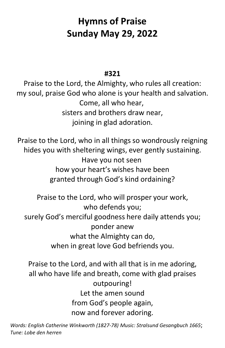# **Hymns of Praise Sunday May 29, 2022**

#### **#321**

Praise to the Lord, the Almighty, who rules all creation: my soul, praise God who alone is your health and salvation. Come, all who hear, sisters and brothers draw near, joining in glad adoration.

Praise to the Lord, who in all things so wondrously reigning hides you with sheltering wings, ever gently sustaining. Have you not seen how your heart's wishes have been granted through God's kind ordaining?

Praise to the Lord, who will prosper your work, who defends you; surely God's merciful goodness here daily attends you; ponder anew what the Almighty can do, when in great love God befriends you.

Praise to the Lord, and with all that is in me adoring, all who have life and breath, come with glad praises outpouring! Let the amen sound from God's people again, now and forever adoring.

*Words: English Catherine Winkworth (1827-78) Music: Stralsund Gesangbuch 1665*; *Tune: Lobe den herren*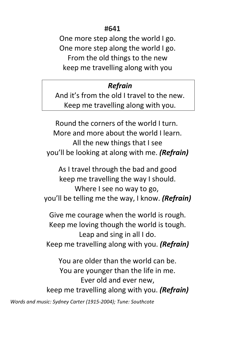#### **#641**

One more step along the world I go. One more step along the world I go. From the old things to the new keep me travelling along with you

#### *Refrain*

And it's from the old I travel to the new. Keep me travelling along with you.

Round the corners of the world I turn. More and more about the world I learn. All the new things that I see you'll be looking at along with me. *(Refrain)*

As I travel through the bad and good keep me travelling the way I should. Where I see no way to go, you'll be telling me the way, I know. *(Refrain)*

Give me courage when the world is rough. Keep me loving though the world is tough. Leap and sing in all I do. Keep me travelling along with you. *(Refrain)*

You are older than the world can be. You are younger than the life in me. Ever old and ever new, keep me travelling along with you. *(Refrain)*

*Words and music: Sydney Carter (1915-2004); Tune: Southcote*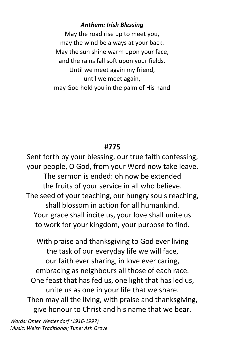*Anthem: Irish Blessing* May the road rise up to meet you, may the wind be always at your back. May the sun shine warm upon your face, and the rains fall soft upon your fields. Until we meet again my friend, until we meet again, may God hold you in the palm of His hand

### **#775**

Sent forth by your blessing, our true faith confessing, your people, O God, from your Word now take leave. The sermon is ended: oh now be extended the fruits of your service in all who believe. The seed of your teaching, our hungry souls reaching, shall blossom in action for all humankind. Your grace shall incite us, your love shall unite us to work for your kingdom, your purpose to find.

With praise and thanksgiving to God ever living the task of our everyday life we will face, our faith ever sharing, in love ever caring, embracing as neighbours all those of each race. One feast that has fed us, one light that has led us, unite us as one in your life that we share. Then may all the living, with praise and thanksgiving, give honour to Christ and his name that we bear.

*Words: Omer Westendorf (1916-1997) Music: Welsh Traditional; Tune: Ash Grove*